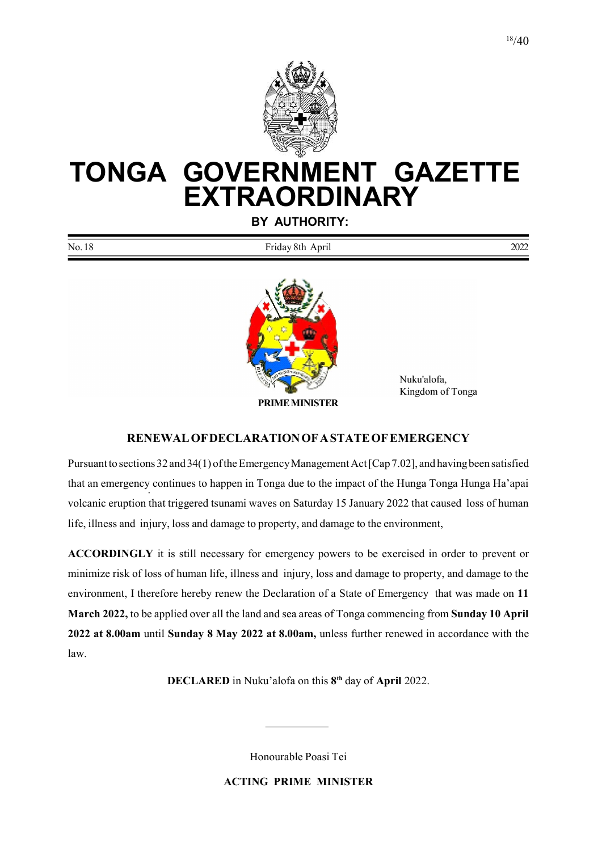

# TONGA GOVERNMENT GAZETTE EXTRAORDINARY

BY AUTHORITY:

No. 18 Friday 8th April 2022



 Nuku'alofa, Kingdom of Tonga

#### RENEWAL OF DECLARATION OF A STATE OF EMERGENCY

Pursuant to sections 32 and 34(1) of the Emergency Management Act [Cap 7.02], and having been satisfied that an emergency continues to happen in Tonga due to the impact of the Hunga Tonga Hunga Ha'apai volcanic eruption that triggered tsunami waves on Saturday 15 January 2022 that caused loss of human life, illness and injury, loss and damage to property, and damage to the environment,

ACCORDINGLY it is still necessary for emergency powers to be exercised in order to prevent or minimize risk of loss of human life, illness and injury, loss and damage to property, and damage to the environment, I therefore hereby renew the Declaration of a State of Emergency that was made on 11 March 2022, to be applied over all the land and sea areas of Tonga commencing from Sunday 10 April 2022 at 8.00am until Sunday 8 May 2022 at 8.00am, unless further renewed in accordance with the law.

DECLARED in Nuku'alofa on this 8<sup>th</sup> day of April 2022.

Honourable Poasi Tei

ACTING PRIME MINISTER